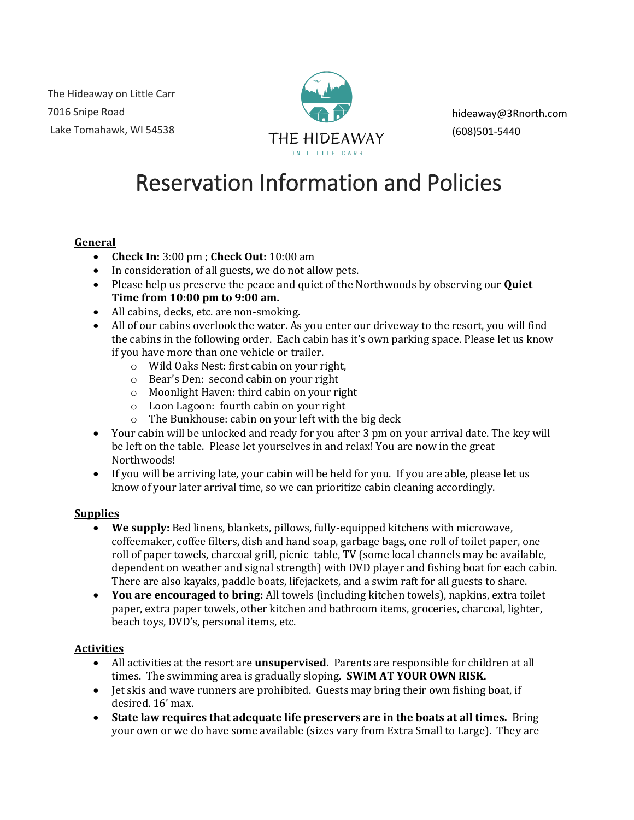The Hideaway on Little Carr 7016 Snipe Road Lake Tomahawk, WI 54538



hideaway@3Rnorth.com (608)501-5440

# Reservation Information and Policies

## **General**

- **Check In:** 3:00 pm ; **Check Out:** 10:00 am
- In consideration of all guests, we do not allow pets.
- Please help us preserve the peace and quiet of the Northwoods by observing our **Quiet Time from 10:00 pm to 9:00 am.**
- All cabins, decks, etc. are non-smoking.
- All of our cabins overlook the water. As you enter our driveway to the resort, you will find the cabins in the following order. Each cabin has it's own parking space. Please let us know if you have more than one vehicle or trailer.
	- o Wild Oaks Nest: first cabin on your right,
	- o Bear's Den: second cabin on your right
	- o Moonlight Haven: third cabin on your right
	- o Loon Lagoon: fourth cabin on your right
	- o The Bunkhouse: cabin on your left with the big deck
- Your cabin will be unlocked and ready for you after 3 pm on your arrival date. The key will be left on the table. Please let yourselves in and relax! You are now in the great Northwoods!
- If you will be arriving late, your cabin will be held for you. If you are able, please let us know of your later arrival time, so we can prioritize cabin cleaning accordingly.

#### **Supplies**

- **We supply:** Bed linens, blankets, pillows, fully-equipped kitchens with microwave, coffeemaker, coffee filters, dish and hand soap, garbage bags, one roll of toilet paper, one roll of paper towels, charcoal grill, picnic table, TV (some local channels may be available, dependent on weather and signal strength) with DVD player and fishing boat for each cabin. There are also kayaks, paddle boats, lifejackets, and a swim raft for all guests to share.
- **You are encouraged to bring:** All towels (including kitchen towels), napkins, extra toilet paper, extra paper towels, other kitchen and bathroom items, groceries, charcoal, lighter, beach toys, DVD's, personal items, etc.

#### **Activities**

- All activities at the resort are **unsupervised.** Parents are responsible for children at all times. The swimming area is gradually sloping. **SWIM AT YOUR OWN RISK.**
- Jet skis and wave runners are prohibited. Guests may bring their own fishing boat, if desired. 16' max.
- **State law requires that adequate life preservers are in the boats at all times.** Bring your own or we do have some available (sizes vary from Extra Small to Large). They are